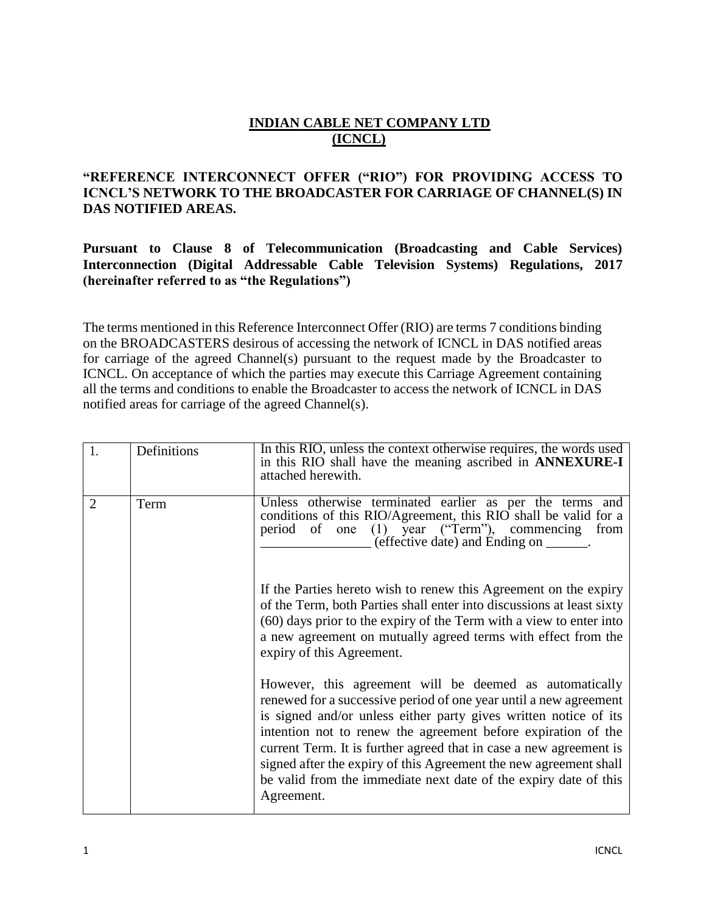# **INDIAN CABLE NET COMPANY LTD (ICNCL)**

### **"REFERENCE INTERCONNECT OFFER ("RIO") FOR PROVIDING ACCESS TO ICNCL'S NETWORK TO THE BROADCASTER FOR CARRIAGE OF CHANNEL(S) IN DAS NOTIFIED AREAS.**

**Pursuant to Clause 8 of Telecommunication (Broadcasting and Cable Services) Interconnection (Digital Addressable Cable Television Systems) Regulations, 2017 (hereinafter referred to as "the Regulations")**

The terms mentioned in this Reference Interconnect Offer (RIO) are terms 7 conditions binding on the BROADCASTERS desirous of accessing the network of ICNCL in DAS notified areas for carriage of the agreed Channel(s) pursuant to the request made by the Broadcaster to ICNCL. On acceptance of which the parties may execute this Carriage Agreement containing all the terms and conditions to enable the Broadcaster to access the network of ICNCL in DAS notified areas for carriage of the agreed Channel(s).

| 1.             | Definitions | In this RIO, unless the context otherwise requires, the words used<br>in this RIO shall have the meaning ascribed in <b>ANNEXURE-I</b><br>attached herewith.                                                                                                                                                                                                                                                                                                                                   |
|----------------|-------------|------------------------------------------------------------------------------------------------------------------------------------------------------------------------------------------------------------------------------------------------------------------------------------------------------------------------------------------------------------------------------------------------------------------------------------------------------------------------------------------------|
| $\overline{2}$ | Term        | Unless otherwise terminated earlier as per the terms and<br>conditions of this RIO/Agreement, this RIO shall be valid for a<br>period of one (1) year ("Term"), commencing from<br>(effective date) and Ending on ______.                                                                                                                                                                                                                                                                      |
|                |             | If the Parties hereto wish to renew this Agreement on the expiry<br>of the Term, both Parties shall enter into discussions at least sixty<br>(60) days prior to the expiry of the Term with a view to enter into<br>a new agreement on mutually agreed terms with effect from the<br>expiry of this Agreement.                                                                                                                                                                                 |
|                |             | However, this agreement will be deemed as automatically<br>renewed for a successive period of one year until a new agreement<br>is signed and/or unless either party gives written notice of its<br>intention not to renew the agreement before expiration of the<br>current Term. It is further agreed that in case a new agreement is<br>signed after the expiry of this Agreement the new agreement shall<br>be valid from the immediate next date of the expiry date of this<br>Agreement. |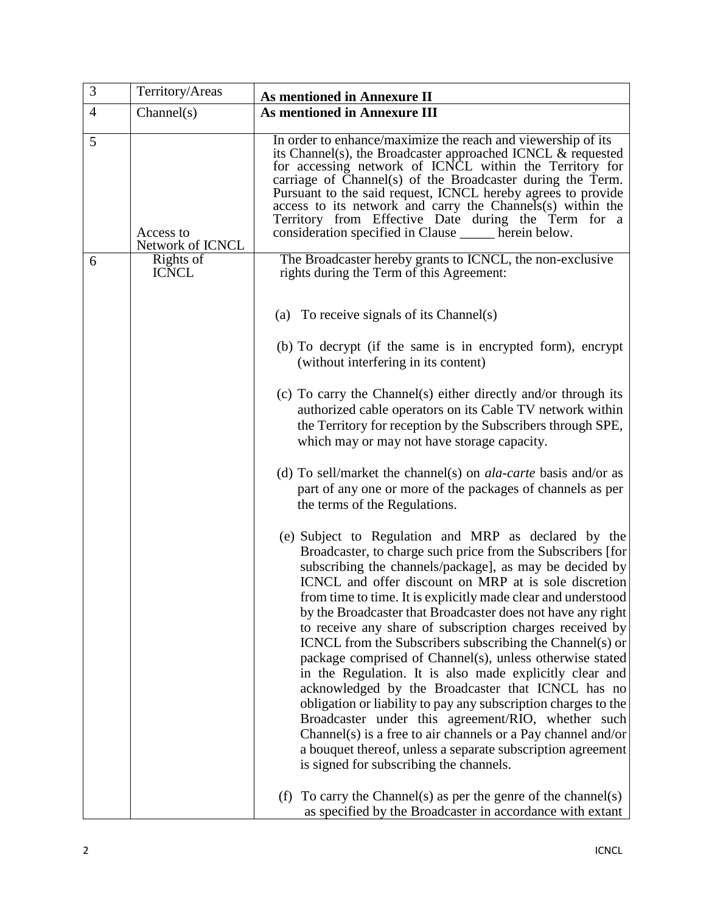| 3              | Territory/Areas               | As mentioned in Annexure II                                                                                                                                                                                                                                                                                                                                                                                                                                                                                                                                                                                                                                                                                                                                                                                                                                                                                                                                                                                                                     |
|----------------|-------------------------------|-------------------------------------------------------------------------------------------------------------------------------------------------------------------------------------------------------------------------------------------------------------------------------------------------------------------------------------------------------------------------------------------------------------------------------------------------------------------------------------------------------------------------------------------------------------------------------------------------------------------------------------------------------------------------------------------------------------------------------------------------------------------------------------------------------------------------------------------------------------------------------------------------------------------------------------------------------------------------------------------------------------------------------------------------|
| $\overline{4}$ | Channel(s)                    | <b>As mentioned in Annexure III</b>                                                                                                                                                                                                                                                                                                                                                                                                                                                                                                                                                                                                                                                                                                                                                                                                                                                                                                                                                                                                             |
| 5              | Access to<br>Network of ICNCL | In order to enhance/maximize the reach and viewership of its<br>its Channel(s), the Broadcaster approached ICNCL $\&$ requested<br>for accessing network of ICNCL within the Territory for<br>carriage of Channel(s) of the Broadcaster during the Term.<br>Pursuant to the said request, ICNCL hereby agrees to provide<br>access to its network and carry the Channels(s) within the<br>Territory from Effective Date during the Term for a<br>consideration specified in Clause _____ herein below.                                                                                                                                                                                                                                                                                                                                                                                                                                                                                                                                          |
| 6              | Rights of<br><b>ICNCL</b>     | The Broadcaster hereby grants to ICNCL, the non-exclusive<br>rights during the Term of this Agreement:                                                                                                                                                                                                                                                                                                                                                                                                                                                                                                                                                                                                                                                                                                                                                                                                                                                                                                                                          |
|                |                               | (a) To receive signals of its Channel(s)                                                                                                                                                                                                                                                                                                                                                                                                                                                                                                                                                                                                                                                                                                                                                                                                                                                                                                                                                                                                        |
|                |                               | (b) To decrypt (if the same is in encrypted form), encrypt<br>(without interfering in its content)                                                                                                                                                                                                                                                                                                                                                                                                                                                                                                                                                                                                                                                                                                                                                                                                                                                                                                                                              |
|                |                               | (c) To carry the Channel(s) either directly and/or through its<br>authorized cable operators on its Cable TV network within<br>the Territory for reception by the Subscribers through SPE,<br>which may or may not have storage capacity.                                                                                                                                                                                                                                                                                                                                                                                                                                                                                                                                                                                                                                                                                                                                                                                                       |
|                |                               | (d) To sell/market the channel(s) on <i>ala-carte</i> basis and/or as<br>part of any one or more of the packages of channels as per<br>the terms of the Regulations.                                                                                                                                                                                                                                                                                                                                                                                                                                                                                                                                                                                                                                                                                                                                                                                                                                                                            |
|                |                               | (e) Subject to Regulation and MRP as declared by the<br>Broadcaster, to charge such price from the Subscribers [for<br>subscribing the channels/package], as may be decided by<br>ICNCL and offer discount on MRP at is sole discretion<br>from time to time. It is explicitly made clear and understood<br>by the Broadcaster that Broadcaster does not have any right<br>to receive any share of subscription charges received by<br>ICNCL from the Subscribers subscribing the Channel(s) or<br>package comprised of Channel(s), unless otherwise stated<br>in the Regulation. It is also made explicitly clear and<br>acknowledged by the Broadcaster that ICNCL has no<br>obligation or liability to pay any subscription charges to the<br>Broadcaster under this agreement/RIO, whether such<br>Channel(s) is a free to air channels or a Pay channel and/or<br>a bouquet thereof, unless a separate subscription agreement<br>is signed for subscribing the channels.<br>(f) To carry the Channel(s) as per the genre of the channel(s) |
|                |                               | as specified by the Broadcaster in accordance with extant                                                                                                                                                                                                                                                                                                                                                                                                                                                                                                                                                                                                                                                                                                                                                                                                                                                                                                                                                                                       |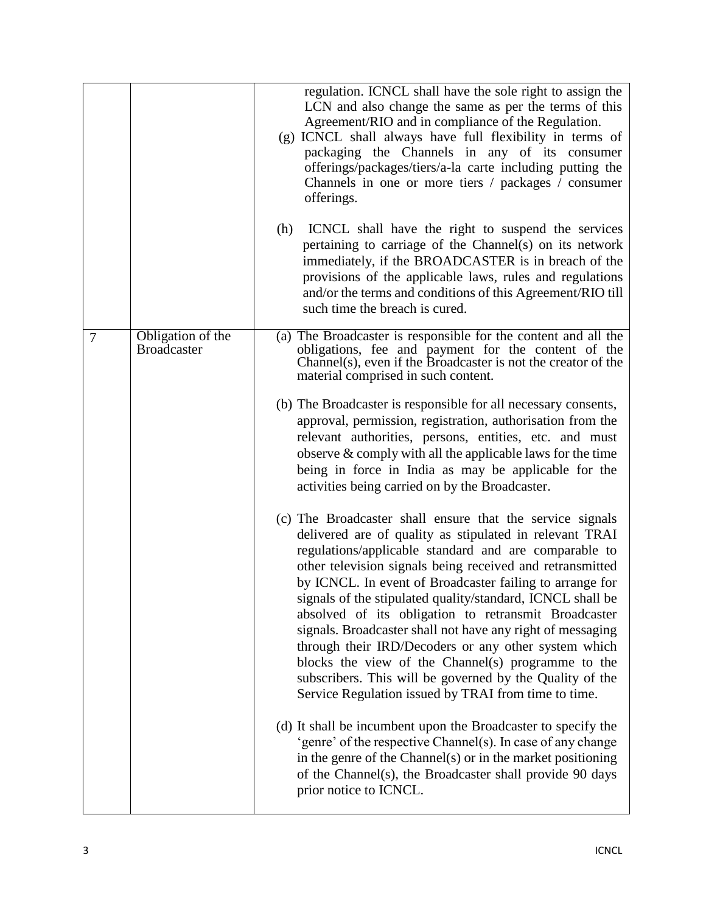|   |                                         | regulation. ICNCL shall have the sole right to assign the<br>LCN and also change the same as per the terms of this<br>Agreement/RIO and in compliance of the Regulation.<br>(g) ICNCL shall always have full flexibility in terms of<br>packaging the Channels in any of its consumer<br>offerings/packages/tiers/a-la carte including putting the<br>Channels in one or more tiers / packages / consumer<br>offerings.<br>(h)<br>ICNCL shall have the right to suspend the services<br>pertaining to carriage of the Channel(s) on its network<br>immediately, if the BROADCASTER is in breach of the<br>provisions of the applicable laws, rules and regulations<br>and/or the terms and conditions of this Agreement/RIO till<br>such time the breach is cured.                                                                                                                                                                                                                                                |
|---|-----------------------------------------|-------------------------------------------------------------------------------------------------------------------------------------------------------------------------------------------------------------------------------------------------------------------------------------------------------------------------------------------------------------------------------------------------------------------------------------------------------------------------------------------------------------------------------------------------------------------------------------------------------------------------------------------------------------------------------------------------------------------------------------------------------------------------------------------------------------------------------------------------------------------------------------------------------------------------------------------------------------------------------------------------------------------|
| 7 | Obligation of the<br><b>Broadcaster</b> | (a) The Broadcaster is responsible for the content and all the<br>obligations, fee and payment for the content of the<br>Channel(s), even if the Broadcaster is not the creator of the<br>material comprised in such content.<br>(b) The Broadcaster is responsible for all necessary consents,<br>approval, permission, registration, authorisation from the<br>relevant authorities, persons, entities, etc. and must<br>observe $&$ comply with all the applicable laws for the time<br>being in force in India as may be applicable for the<br>activities being carried on by the Broadcaster.                                                                                                                                                                                                                                                                                                                                                                                                                |
|   |                                         | (c) The Broadcaster shall ensure that the service signals<br>delivered are of quality as stipulated in relevant TRAI<br>regulations/applicable standard and are comparable to<br>other television signals being received and retransmitted<br>by ICNCL. In event of Broadcaster failing to arrange for<br>signals of the stipulated quality/standard, ICNCL shall be<br>absolved of its obligation to retransmit Broadcaster<br>signals. Broadcaster shall not have any right of messaging<br>through their IRD/Decoders or any other system which<br>blocks the view of the Channel(s) programme to the<br>subscribers. This will be governed by the Quality of the<br>Service Regulation issued by TRAI from time to time.<br>(d) It shall be incumbent upon the Broadcaster to specify the<br>'genre' of the respective Channel(s). In case of any change<br>in the genre of the Channel(s) or in the market positioning<br>of the Channel(s), the Broadcaster shall provide 90 days<br>prior notice to ICNCL. |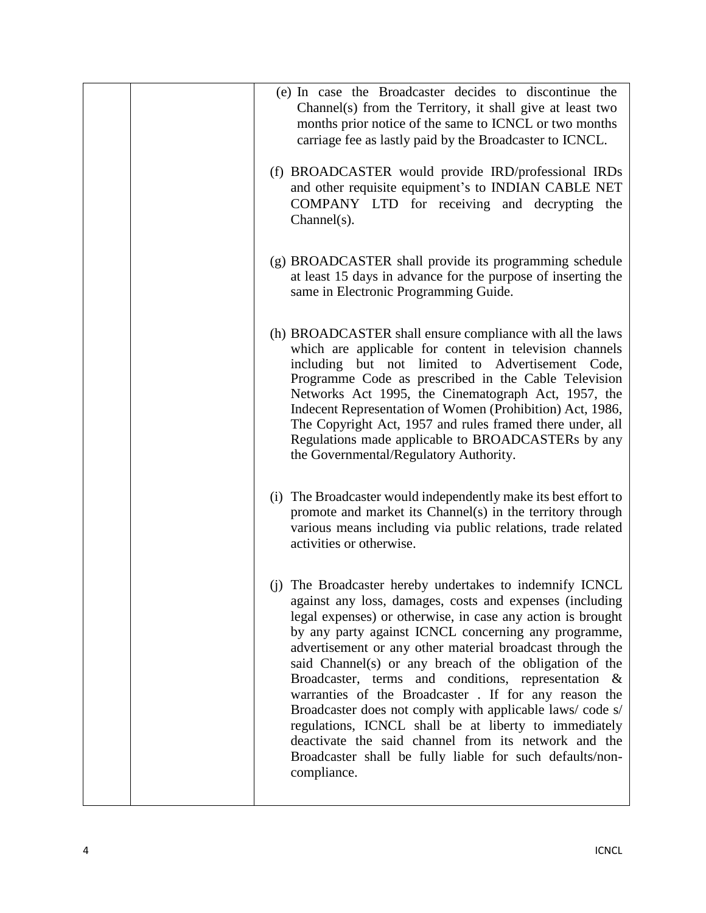| (e) In case the Broadcaster decides to discontinue the<br>Channel(s) from the Territory, it shall give at least two<br>months prior notice of the same to ICNCL or two months<br>carriage fee as lastly paid by the Broadcaster to ICNCL.                                                                                                                                                                                                                                                                                                                                                                                                                                                                                                  |
|--------------------------------------------------------------------------------------------------------------------------------------------------------------------------------------------------------------------------------------------------------------------------------------------------------------------------------------------------------------------------------------------------------------------------------------------------------------------------------------------------------------------------------------------------------------------------------------------------------------------------------------------------------------------------------------------------------------------------------------------|
| (f) BROADCASTER would provide IRD/professional IRDs<br>and other requisite equipment's to INDIAN CABLE NET<br>COMPANY LTD for receiving and decrypting the<br>$Channel(s)$ .                                                                                                                                                                                                                                                                                                                                                                                                                                                                                                                                                               |
| (g) BROADCASTER shall provide its programming schedule<br>at least 15 days in advance for the purpose of inserting the<br>same in Electronic Programming Guide.                                                                                                                                                                                                                                                                                                                                                                                                                                                                                                                                                                            |
| (h) BROADCASTER shall ensure compliance with all the laws<br>which are applicable for content in television channels<br>including but not limited to Advertisement Code,<br>Programme Code as prescribed in the Cable Television<br>Networks Act 1995, the Cinematograph Act, 1957, the<br>Indecent Representation of Women (Prohibition) Act, 1986,<br>The Copyright Act, 1957 and rules framed there under, all<br>Regulations made applicable to BROADCASTERs by any<br>the Governmental/Regulatory Authority.                                                                                                                                                                                                                          |
| (i) The Broadcaster would independently make its best effort to<br>promote and market its Channel(s) in the territory through<br>various means including via public relations, trade related<br>activities or otherwise.                                                                                                                                                                                                                                                                                                                                                                                                                                                                                                                   |
| (j) The Broadcaster hereby undertakes to indemnify ICNCL<br>against any loss, damages, costs and expenses (including<br>legal expenses) or otherwise, in case any action is brought<br>by any party against ICNCL concerning any programme,<br>advertisement or any other material broadcast through the<br>said Channel(s) or any breach of the obligation of the<br>Broadcaster, terms and conditions, representation &<br>warranties of the Broadcaster . If for any reason the<br>Broadcaster does not comply with applicable laws/code s/<br>regulations, ICNCL shall be at liberty to immediately<br>deactivate the said channel from its network and the<br>Broadcaster shall be fully liable for such defaults/non-<br>compliance. |

ı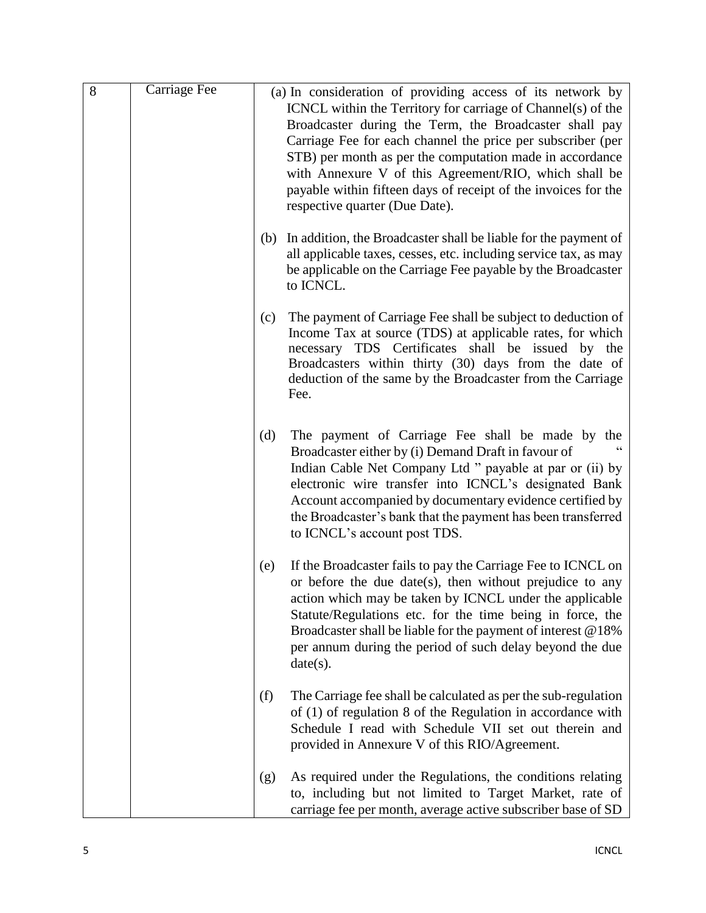| 8 | Carriage Fee |     | (a) In consideration of providing access of its network by<br>ICNCL within the Territory for carriage of Channel(s) of the<br>Broadcaster during the Term, the Broadcaster shall pay<br>Carriage Fee for each channel the price per subscriber (per<br>STB) per month as per the computation made in accordance<br>with Annexure V of this Agreement/RIO, which shall be<br>payable within fifteen days of receipt of the invoices for the<br>respective quarter (Due Date). |
|---|--------------|-----|------------------------------------------------------------------------------------------------------------------------------------------------------------------------------------------------------------------------------------------------------------------------------------------------------------------------------------------------------------------------------------------------------------------------------------------------------------------------------|
|   |              | (b) | In addition, the Broadcaster shall be liable for the payment of<br>all applicable taxes, cesses, etc. including service tax, as may<br>be applicable on the Carriage Fee payable by the Broadcaster<br>to ICNCL.                                                                                                                                                                                                                                                             |
|   |              | (c) | The payment of Carriage Fee shall be subject to deduction of<br>Income Tax at source (TDS) at applicable rates, for which<br>necessary TDS Certificates shall be issued by the<br>Broadcasters within thirty (30) days from the date of<br>deduction of the same by the Broadcaster from the Carriage<br>Fee.                                                                                                                                                                |
|   |              | (d) | The payment of Carriage Fee shall be made by the<br>Broadcaster either by (i) Demand Draft in favour of<br>Indian Cable Net Company Ltd " payable at par or (ii) by<br>electronic wire transfer into ICNCL's designated Bank<br>Account accompanied by documentary evidence certified by<br>the Broadcaster's bank that the payment has been transferred<br>to ICNCL's account post TDS.                                                                                     |
|   |              | (e) | If the Broadcaster fails to pay the Carriage Fee to ICNCL on<br>or before the due date(s), then without prejudice to any<br>action which may be taken by ICNCL under the applicable<br>Statute/Regulations etc. for the time being in force, the<br>Broadcaster shall be liable for the payment of interest $@18\%$<br>per annum during the period of such delay beyond the due<br>date(s).                                                                                  |
|   |              | (f) | The Carriage fee shall be calculated as per the sub-regulation<br>of $(1)$ of regulation 8 of the Regulation in accordance with<br>Schedule I read with Schedule VII set out therein and<br>provided in Annexure V of this RIO/Agreement.                                                                                                                                                                                                                                    |
|   |              | (g) | As required under the Regulations, the conditions relating<br>to, including but not limited to Target Market, rate of<br>carriage fee per month, average active subscriber base of SD                                                                                                                                                                                                                                                                                        |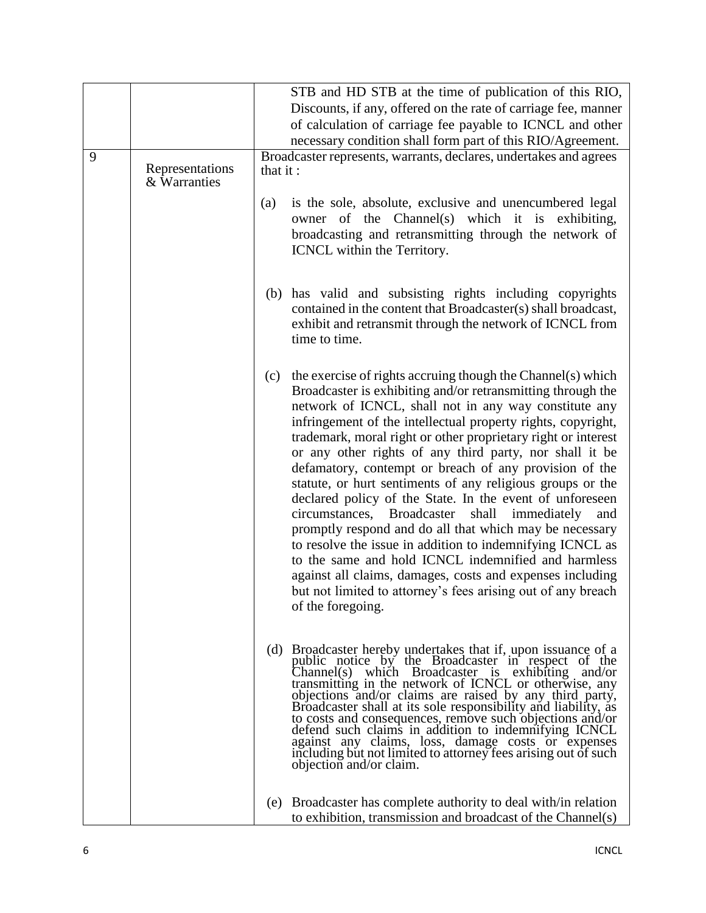|   |                                 | STB and HD STB at the time of publication of this RIO,                                                                                                                                                                                                                                                                                                                                                                                                                                                                                                                                                                                                                                                                                                                                                                                                                                                                                                                |
|---|---------------------------------|-----------------------------------------------------------------------------------------------------------------------------------------------------------------------------------------------------------------------------------------------------------------------------------------------------------------------------------------------------------------------------------------------------------------------------------------------------------------------------------------------------------------------------------------------------------------------------------------------------------------------------------------------------------------------------------------------------------------------------------------------------------------------------------------------------------------------------------------------------------------------------------------------------------------------------------------------------------------------|
|   |                                 | Discounts, if any, offered on the rate of carriage fee, manner                                                                                                                                                                                                                                                                                                                                                                                                                                                                                                                                                                                                                                                                                                                                                                                                                                                                                                        |
|   |                                 | of calculation of carriage fee payable to ICNCL and other                                                                                                                                                                                                                                                                                                                                                                                                                                                                                                                                                                                                                                                                                                                                                                                                                                                                                                             |
|   |                                 | necessary condition shall form part of this RIO/Agreement.                                                                                                                                                                                                                                                                                                                                                                                                                                                                                                                                                                                                                                                                                                                                                                                                                                                                                                            |
| 9 | Representations<br>& Warranties | Broadcaster represents, warrants, declares, undertakes and agrees<br>that it:                                                                                                                                                                                                                                                                                                                                                                                                                                                                                                                                                                                                                                                                                                                                                                                                                                                                                         |
|   |                                 | is the sole, absolute, exclusive and unencumbered legal<br>$\left( a\right)$<br>owner of the Channel(s) which it is exhibiting,<br>broadcasting and retransmitting through the network of<br>ICNCL within the Territory.                                                                                                                                                                                                                                                                                                                                                                                                                                                                                                                                                                                                                                                                                                                                              |
|   |                                 | (b) has valid and subsisting rights including copyrights<br>contained in the content that Broadcaster(s) shall broadcast,<br>exhibit and retransmit through the network of ICNCL from<br>time to time.                                                                                                                                                                                                                                                                                                                                                                                                                                                                                                                                                                                                                                                                                                                                                                |
|   |                                 | the exercise of rights accruing though the Channel(s) which<br>(c)<br>Broadcaster is exhibiting and/or retransmitting through the<br>network of ICNCL, shall not in any way constitute any<br>infringement of the intellectual property rights, copyright,<br>trademark, moral right or other proprietary right or interest<br>or any other rights of any third party, nor shall it be<br>defamatory, contempt or breach of any provision of the<br>statute, or hurt sentiments of any religious groups or the<br>declared policy of the State. In the event of unforeseen<br>circumstances, Broadcaster<br>shall immediately<br>and<br>promptly respond and do all that which may be necessary<br>to resolve the issue in addition to indemnifying ICNCL as<br>to the same and hold ICNCL indemnified and harmless<br>against all claims, damages, costs and expenses including<br>but not limited to attorney's fees arising out of any breach<br>of the foregoing. |
|   |                                 | (d) Broadcaster hereby undertakes that if, upon issuance of a<br>public notice by the Broadcaster in respect of the<br>Channel(s) which Broadcaster is exhibiting and/or<br>transmitting in the network of ICNCL or otherwise, any<br>objections and/or claims are raised by any third party,<br>Broadcaster shall at its sole responsibility and liability, as<br>to costs and consequences, remove such objections and/or<br>defend such claims in addition to indemnifying ICNCL<br>against any claims, loss, damage costs or expenses<br>including but not limited to attorney fees arising out of such<br>objection and/or claim.                                                                                                                                                                                                                                                                                                                                |
|   |                                 | Broadcaster has complete authority to deal with/in relation<br>(e)<br>to exhibition, transmission and broadcast of the Channel(s)                                                                                                                                                                                                                                                                                                                                                                                                                                                                                                                                                                                                                                                                                                                                                                                                                                     |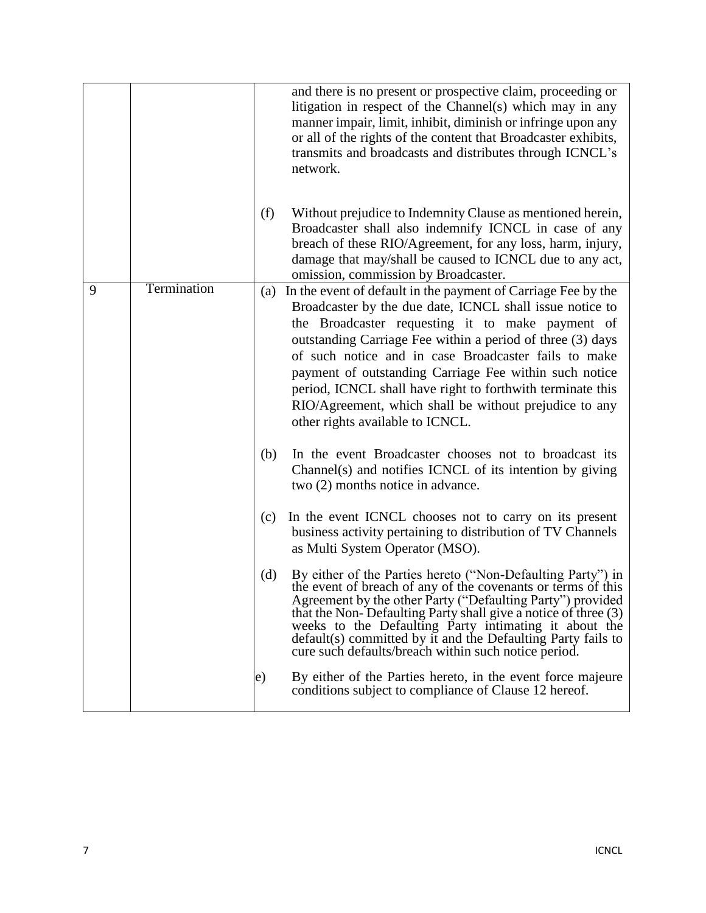|   |             |     | and there is no present or prospective claim, proceeding or<br>litigation in respect of the Channel(s) which may in any<br>manner impair, limit, inhibit, diminish or infringe upon any<br>or all of the rights of the content that Broadcaster exhibits,<br>transmits and broadcasts and distributes through ICNCL's<br>network.                                                                                                                                                                                         |
|---|-------------|-----|---------------------------------------------------------------------------------------------------------------------------------------------------------------------------------------------------------------------------------------------------------------------------------------------------------------------------------------------------------------------------------------------------------------------------------------------------------------------------------------------------------------------------|
|   |             | (f) | Without prejudice to Indemnity Clause as mentioned herein,<br>Broadcaster shall also indemnify ICNCL in case of any<br>breach of these RIO/Agreement, for any loss, harm, injury,<br>damage that may/shall be caused to ICNCL due to any act,<br>omission, commission by Broadcaster.                                                                                                                                                                                                                                     |
| 9 | Termination | (a) | In the event of default in the payment of Carriage Fee by the<br>Broadcaster by the due date, ICNCL shall issue notice to<br>the Broadcaster requesting it to make payment of<br>outstanding Carriage Fee within a period of three (3) days<br>of such notice and in case Broadcaster fails to make<br>payment of outstanding Carriage Fee within such notice<br>period, ICNCL shall have right to forthwith terminate this<br>RIO/Agreement, which shall be without prejudice to any<br>other rights available to ICNCL. |
|   |             | (b) | In the event Broadcaster chooses not to broadcast its<br>Channel(s) and notifies ICNCL of its intention by giving<br>two (2) months notice in advance.                                                                                                                                                                                                                                                                                                                                                                    |
|   |             | (c) | In the event ICNCL chooses not to carry on its present<br>business activity pertaining to distribution of TV Channels<br>as Multi System Operator (MSO).                                                                                                                                                                                                                                                                                                                                                                  |
|   |             | (d) | By either of the Parties hereto ("Non-Defaulting Party") in<br>the event of breach of any of the covenants or terms of this<br>Agreement by the other Party ("Defaulting Party") provided<br>that the Non-Defaulting Party shall give a notice of three (3)<br>weeks to the Defaulting Party intimating it about the<br>default(s) committed by it and the Defaulting Party fails to<br>cure such defaults/breach within such notice period.                                                                              |
|   |             | e)  | By either of the Parties hereto, in the event force majeure<br>conditions subject to compliance of Clause 12 hereof.                                                                                                                                                                                                                                                                                                                                                                                                      |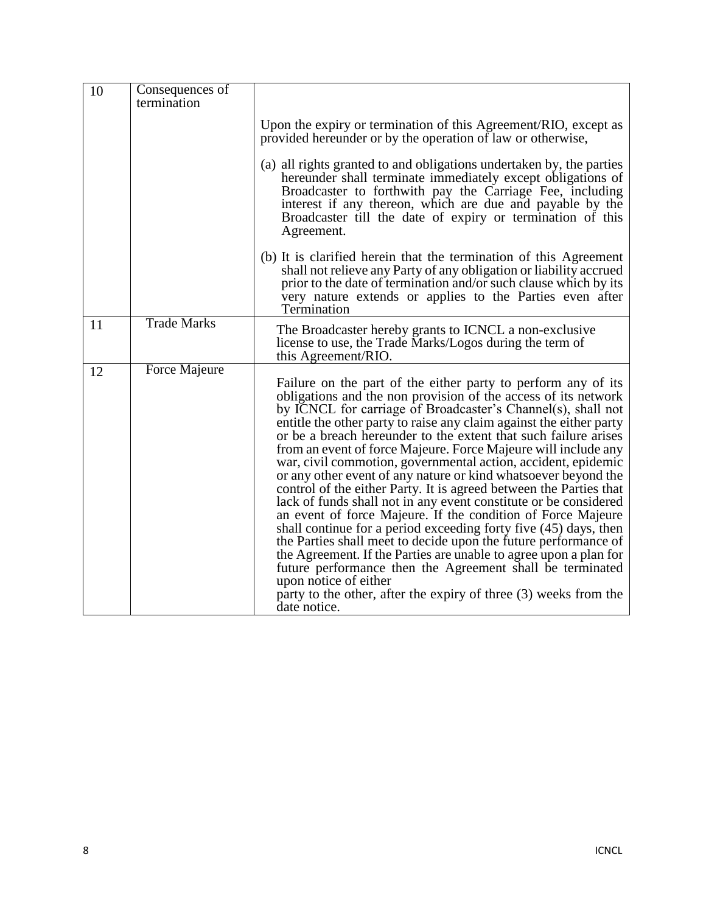| 10 | Consequences of<br>termination |                                                                                                                                                                                                                                                                                                                                                                                                                                                                                                                                                                                                                                                                                                                                                                                                                                                                                                                                                                                                                                                                                                                                                |
|----|--------------------------------|------------------------------------------------------------------------------------------------------------------------------------------------------------------------------------------------------------------------------------------------------------------------------------------------------------------------------------------------------------------------------------------------------------------------------------------------------------------------------------------------------------------------------------------------------------------------------------------------------------------------------------------------------------------------------------------------------------------------------------------------------------------------------------------------------------------------------------------------------------------------------------------------------------------------------------------------------------------------------------------------------------------------------------------------------------------------------------------------------------------------------------------------|
|    |                                | Upon the expiry or termination of this Agreement/RIO, except as<br>provided hereunder or by the operation of law or otherwise,                                                                                                                                                                                                                                                                                                                                                                                                                                                                                                                                                                                                                                                                                                                                                                                                                                                                                                                                                                                                                 |
|    |                                | (a) all rights granted to and obligations undertaken by, the parties<br>hereunder shall terminate immediately except obligations of<br>Broadcaster to forthwith pay the Carriage Fee, including<br>interest if any thereon, which are due and payable by the<br>Broadcaster till the date of expiry or termination of this<br>Agreement.                                                                                                                                                                                                                                                                                                                                                                                                                                                                                                                                                                                                                                                                                                                                                                                                       |
|    |                                | (b) It is clarified herein that the termination of this Agreement<br>shall not relieve any Party of any obligation or liability accrued<br>prior to the date of termination and/or such clause which by its<br>very nature extends or applies to the Parties even after<br>Termination                                                                                                                                                                                                                                                                                                                                                                                                                                                                                                                                                                                                                                                                                                                                                                                                                                                         |
| 11 | <b>Trade Marks</b>             | The Broadcaster hereby grants to ICNCL a non-exclusive<br>license to use, the Trade Marks/Logos during the term of<br>this Agreement/RIO.                                                                                                                                                                                                                                                                                                                                                                                                                                                                                                                                                                                                                                                                                                                                                                                                                                                                                                                                                                                                      |
| 12 | <b>Force Majeure</b>           | Failure on the part of the either party to perform any of its<br>obligations and the non provision of the access of its network<br>by ICNCL for carriage of Broadcaster's Channel(s), shall not<br>entitle the other party to raise any claim against the either party<br>or be a breach hereunder to the extent that such failure arises<br>from an event of force Majeure. Force Majeure will include any<br>war, civil commotion, governmental action, accident, epidemic<br>or any other event of any nature or kind whatsoever beyond the<br>control of the either Party. It is agreed between the Parties that<br>lack of funds shall not in any event constitute or be considered<br>an event of force Majeure. If the condition of Force Majeure<br>shall continue for a period exceeding forty five (45) days, then<br>the Parties shall meet to decide upon the future performance of<br>the Agreement. If the Parties are unable to agree upon a plan for<br>future performance then the Agreement shall be terminated<br>upon notice of either<br>party to the other, after the expiry of three (3) weeks from the<br>date notice. |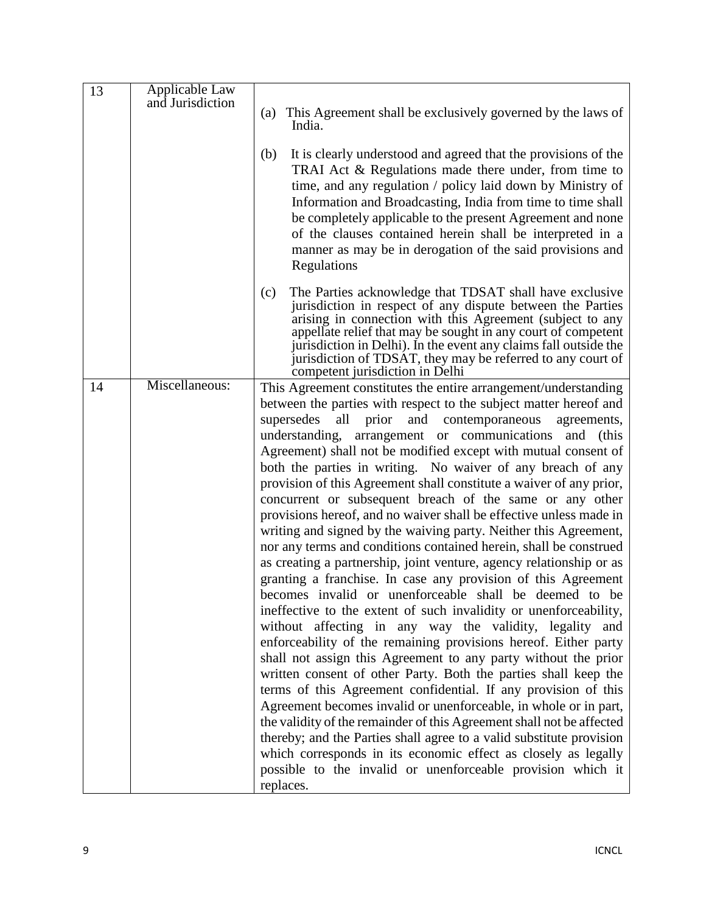| 13 | Applicable Law   |                                                                                                                                                                                                                                                                                                                                                                                                                                                                                                                    |
|----|------------------|--------------------------------------------------------------------------------------------------------------------------------------------------------------------------------------------------------------------------------------------------------------------------------------------------------------------------------------------------------------------------------------------------------------------------------------------------------------------------------------------------------------------|
|    | and Jurisdiction | This Agreement shall be exclusively governed by the laws of<br>(a)                                                                                                                                                                                                                                                                                                                                                                                                                                                 |
|    |                  | India.                                                                                                                                                                                                                                                                                                                                                                                                                                                                                                             |
|    |                  | It is clearly understood and agreed that the provisions of the<br>(b)<br>TRAI Act & Regulations made there under, from time to<br>time, and any regulation / policy laid down by Ministry of<br>Information and Broadcasting, India from time to time shall<br>be completely applicable to the present Agreement and none<br>of the clauses contained herein shall be interpreted in a<br>manner as may be in derogation of the said provisions and                                                                |
| 14 | Miscellaneous:   | Regulations<br>The Parties acknowledge that TDSAT shall have exclusive<br>(c)<br>jurisdiction in respect of any dispute between the Parties<br>arising in connection with this Agreement (subject to any<br>appellate relief that may be sought in any court of competent<br>jurisdiction in Delhi). In the event any claims fall outside the<br>jurisdiction of TDSAT, they may be referred to any court of<br>competent jurisdiction in Delhi<br>This Agreement constitutes the entire arrangement/understanding |
|    |                  | between the parties with respect to the subject matter hereof and                                                                                                                                                                                                                                                                                                                                                                                                                                                  |
|    |                  | supersedes<br>all prior<br>and contemporaneous<br>agreements,                                                                                                                                                                                                                                                                                                                                                                                                                                                      |
|    |                  | understanding, arrangement or communications and (this                                                                                                                                                                                                                                                                                                                                                                                                                                                             |
|    |                  | Agreement) shall not be modified except with mutual consent of                                                                                                                                                                                                                                                                                                                                                                                                                                                     |
|    |                  | both the parties in writing. No waiver of any breach of any                                                                                                                                                                                                                                                                                                                                                                                                                                                        |
|    |                  | provision of this Agreement shall constitute a waiver of any prior,                                                                                                                                                                                                                                                                                                                                                                                                                                                |
|    |                  | concurrent or subsequent breach of the same or any other<br>provisions hereof, and no waiver shall be effective unless made in                                                                                                                                                                                                                                                                                                                                                                                     |
|    |                  | writing and signed by the waiving party. Neither this Agreement,                                                                                                                                                                                                                                                                                                                                                                                                                                                   |
|    |                  | nor any terms and conditions contained herein, shall be construed                                                                                                                                                                                                                                                                                                                                                                                                                                                  |
|    |                  | as creating a partnership, joint venture, agency relationship or as                                                                                                                                                                                                                                                                                                                                                                                                                                                |
|    |                  | granting a franchise. In case any provision of this Agreement                                                                                                                                                                                                                                                                                                                                                                                                                                                      |
|    |                  | becomes invalid or unenforceable shall be deemed to be                                                                                                                                                                                                                                                                                                                                                                                                                                                             |
|    |                  | ineffective to the extent of such invalidity or unenforceability,                                                                                                                                                                                                                                                                                                                                                                                                                                                  |
|    |                  | without affecting in any way the validity, legality and<br>enforceability of the remaining provisions hereof. Either party                                                                                                                                                                                                                                                                                                                                                                                         |
|    |                  | shall not assign this Agreement to any party without the prior                                                                                                                                                                                                                                                                                                                                                                                                                                                     |
|    |                  | written consent of other Party. Both the parties shall keep the                                                                                                                                                                                                                                                                                                                                                                                                                                                    |
|    |                  | terms of this Agreement confidential. If any provision of this                                                                                                                                                                                                                                                                                                                                                                                                                                                     |
|    |                  | Agreement becomes invalid or unenforceable, in whole or in part,                                                                                                                                                                                                                                                                                                                                                                                                                                                   |
|    |                  | the validity of the remainder of this Agreement shall not be affected                                                                                                                                                                                                                                                                                                                                                                                                                                              |
|    |                  | thereby; and the Parties shall agree to a valid substitute provision<br>which corresponds in its economic effect as closely as legally                                                                                                                                                                                                                                                                                                                                                                             |
|    |                  | possible to the invalid or unenforceable provision which it                                                                                                                                                                                                                                                                                                                                                                                                                                                        |
|    |                  | replaces.                                                                                                                                                                                                                                                                                                                                                                                                                                                                                                          |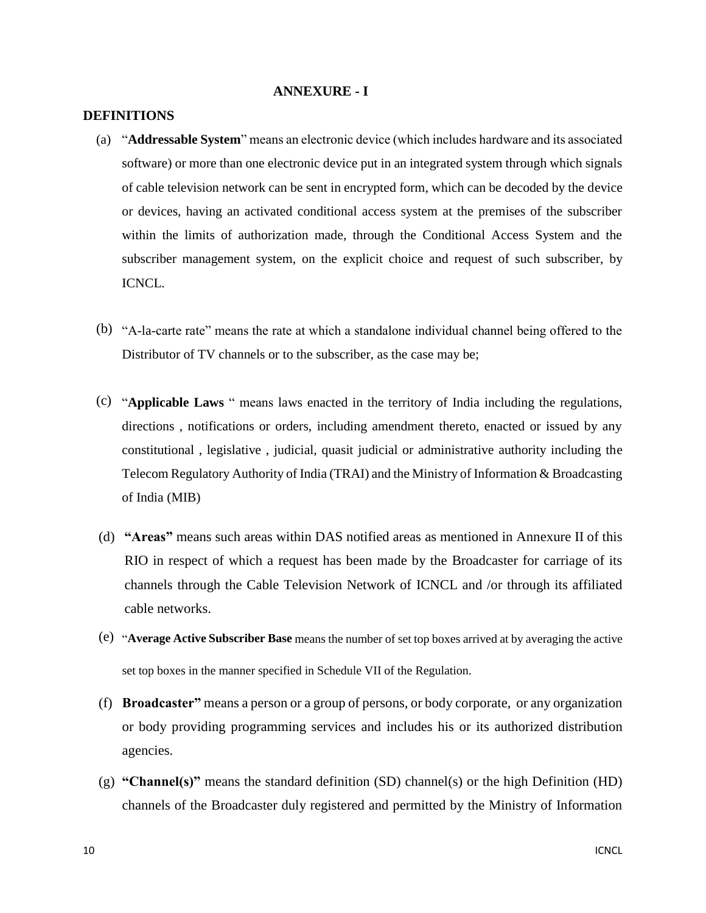#### **ANNEXURE - I**

#### **DEFINITIONS**

- (a) "**Addressable System**" means an electronic device (which includes hardware and its associated software) or more than one electronic device put in an integrated system through which signals of cable television network can be sent in encrypted form, which can be decoded by the device or devices, having an activated conditional access system at the premises of the subscriber within the limits of authorization made, through the Conditional Access System and the subscriber management system, on the explicit choice and request of such subscriber, by ICNCL.
- (b) "A-la-carte rate" means the rate at which a standalone individual channel being offered to the Distributor of TV channels or to the subscriber, as the case may be;
- (c) "**Applicable Laws** " means laws enacted in the territory of India including the regulations, directions , notifications or orders, including amendment thereto, enacted or issued by any constitutional , legislative , judicial, quasit judicial or administrative authority including the Telecom Regulatory Authority of India (TRAI) and the Ministry of Information & Broadcasting of India (MIB)
- (d) **"Areas"** means such areas within DAS notified areas as mentioned in Annexure II of this RIO in respect of which a request has been made by the Broadcaster for carriage of its channels through the Cable Television Network of ICNCL and /or through its affiliated cable networks.
- (e) "**Average Active Subscriber Base** means the number of set top boxes arrived at by averaging the active set top boxes in the manner specified in Schedule VII of the Regulation.
- (f) **Broadcaster"** means a person or a group of persons, or body corporate, or any organization or body providing programming services and includes his or its authorized distribution agencies.
- (g) **"Channel(s)"** means the standard definition (SD) channel(s) or the high Definition (HD) channels of the Broadcaster duly registered and permitted by the Ministry of Information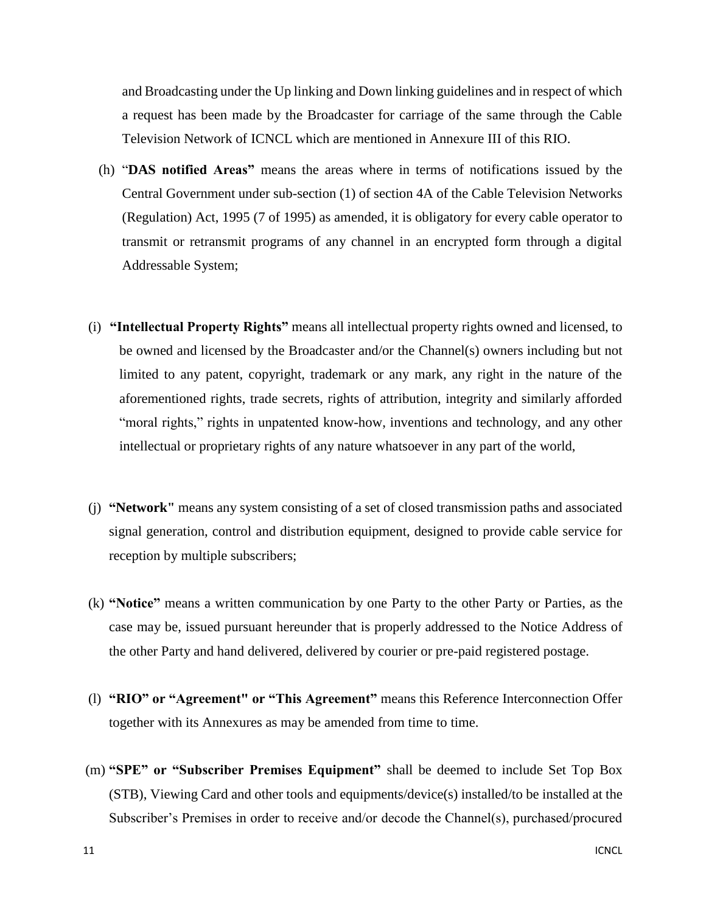and Broadcasting under the Up linking and Down linking guidelines and in respect of which a request has been made by the Broadcaster for carriage of the same through the Cable Television Network of ICNCL which are mentioned in Annexure III of this RIO.

- (h) "**DAS notified Areas"** means the areas where in terms of notifications issued by the Central Government under sub-section (1) of section 4A of the Cable Television Networks (Regulation) Act, 1995 (7 of 1995) as amended, it is obligatory for every cable operator to transmit or retransmit programs of any channel in an encrypted form through a digital Addressable System;
- (i) **"Intellectual Property Rights"** means all intellectual property rights owned and licensed, to be owned and licensed by the Broadcaster and/or the Channel(s) owners including but not limited to any patent, copyright, trademark or any mark, any right in the nature of the aforementioned rights, trade secrets, rights of attribution, integrity and similarly afforded "moral rights," rights in unpatented know-how, inventions and technology, and any other intellectual or proprietary rights of any nature whatsoever in any part of the world,
- (j) **"Network"** means any system consisting of a set of closed transmission paths and associated signal generation, control and distribution equipment, designed to provide cable service for reception by multiple subscribers;
- (k) **"Notice"** means a written communication by one Party to the other Party or Parties, as the case may be, issued pursuant hereunder that is properly addressed to the Notice Address of the other Party and hand delivered, delivered by courier or pre-paid registered postage.
- (l) **"RIO" or "Agreement" or "This Agreement"** means this Reference Interconnection Offer together with its Annexures as may be amended from time to time.
- (m) **"SPE" or "Subscriber Premises Equipment"** shall be deemed to include Set Top Box (STB), Viewing Card and other tools and equipments/device(s) installed/to be installed at the Subscriber's Premises in order to receive and/or decode the Channel(s), purchased/procured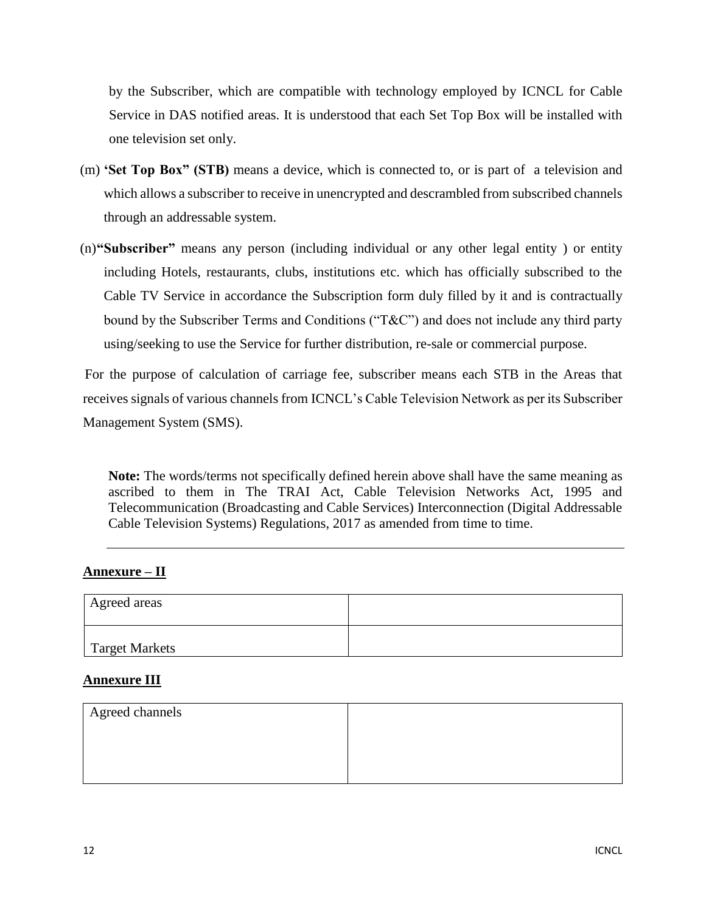by the Subscriber, which are compatible with technology employed by ICNCL for Cable Service in DAS notified areas. It is understood that each Set Top Box will be installed with one television set only.

- (m) **'Set Top Box" (STB)** means a device, which is connected to, or is part of a television and which allows a subscriber to receive in unencrypted and descrambled from subscribed channels through an addressable system.
- (n)**"Subscriber"** means any person (including individual or any other legal entity ) or entity including Hotels, restaurants, clubs, institutions etc. which has officially subscribed to the Cable TV Service in accordance the Subscription form duly filled by it and is contractually bound by the Subscriber Terms and Conditions ("T&C") and does not include any third party using/seeking to use the Service for further distribution, re-sale or commercial purpose.

For the purpose of calculation of carriage fee, subscriber means each STB in the Areas that receives signals of various channels from ICNCL's Cable Television Network as per its Subscriber Management System (SMS).

**Note:** The words/terms not specifically defined herein above shall have the same meaning as ascribed to them in The TRAI Act, Cable Television Networks Act, 1995 and Telecommunication (Broadcasting and Cable Services) Interconnection (Digital Addressable Cable Television Systems) Regulations, 2017 as amended from time to time.

### **Annexure – II**

| Agreed areas   |  |
|----------------|--|
| Target Markets |  |

#### **Annexure III**

| Agreed channels |  |
|-----------------|--|
|                 |  |
|                 |  |
|                 |  |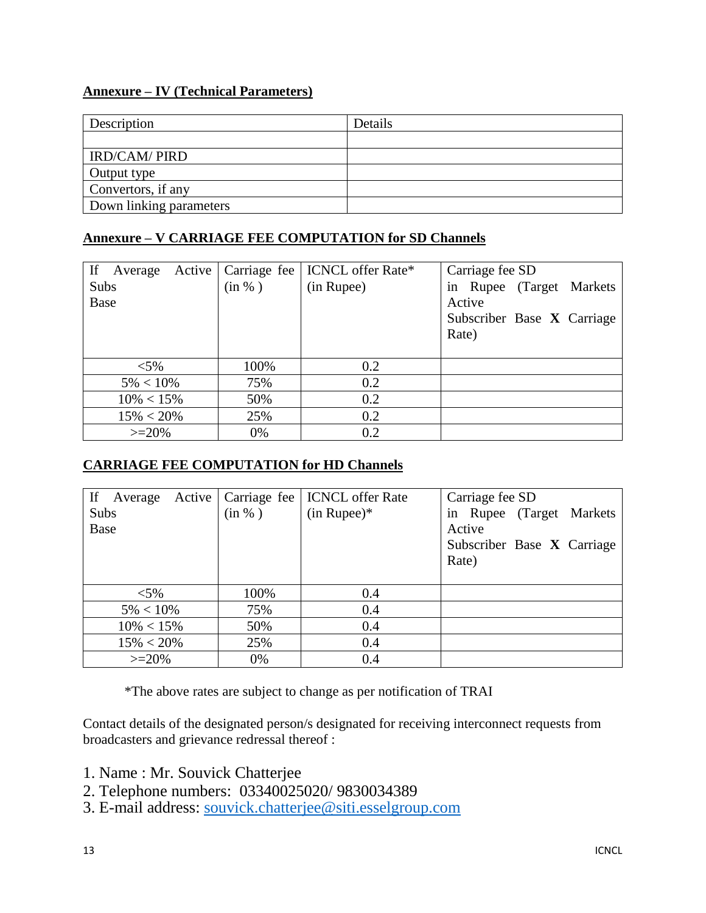## **Annexure – IV (Technical Parameters)**

| Description             | Details |
|-------------------------|---------|
|                         |         |
| <b>IRD/CAM/ PIRD</b>    |         |
| Output type             |         |
| Convertors, if any      |         |
| Down linking parameters |         |

### **Annexure – V CARRIAGE FEE COMPUTATION for SD Channels**

| If<br>Active<br>Average |        | Carriage fee   ICNCL offer Rate* | Carriage fee SD            |
|-------------------------|--------|----------------------------------|----------------------------|
| Subs                    | (in %) | (in Rupee)                       | in Rupee (Target Markets   |
| Base                    |        |                                  | Active                     |
|                         |        |                                  | Subscriber Base X Carriage |
|                         |        |                                  | Rate)                      |
|                         |        |                                  |                            |
| $<$ 5%                  | 100%   | 0.2                              |                            |
| $5\% < 10\%$            | 75%    | 0.2                              |                            |
| $10\% < 15\%$           | 50%    | 0.2                              |                            |
| $15\% < 20\%$           | 25%    | 0.2                              |                            |
| $>=20%$                 | 0%     | 0.2                              |                            |

## **CARRIAGE FEE COMPUTATION for HD Channels**

| If<br>Average |        | Active   Carriage fee   ICNCL offer Rate | Carriage fee SD            |
|---------------|--------|------------------------------------------|----------------------------|
| Subs          | (in %) | $(in \text{ Rupe})^*$                    | in Rupee (Target Markets   |
| Base          |        |                                          | Active                     |
|               |        |                                          | Subscriber Base X Carriage |
|               |        |                                          | Rate)                      |
|               |        |                                          |                            |
| ${<}5\%$      | 100%   | 0.4                                      |                            |
| $5\% < 10\%$  | 75%    | 0.4                                      |                            |
| $10\% < 15\%$ | 50%    | 0.4                                      |                            |
| $15\% < 20\%$ | 25%    | 0.4                                      |                            |
| $>=20%$       | 0%     | 0.4                                      |                            |

\*The above rates are subject to change as per notification of TRAI

Contact details of the designated person/s designated for receiving interconnect requests from broadcasters and grievance redressal thereof :

- 1. Name : Mr. Souvick Chatterjee
- 2. Telephone numbers: 03340025020/ 9830034389
- 3. E-mail address: [souvick.chatterjee@siti.esselgroup.com](mailto:souvick.chatterjee@siti.esselgroup.com)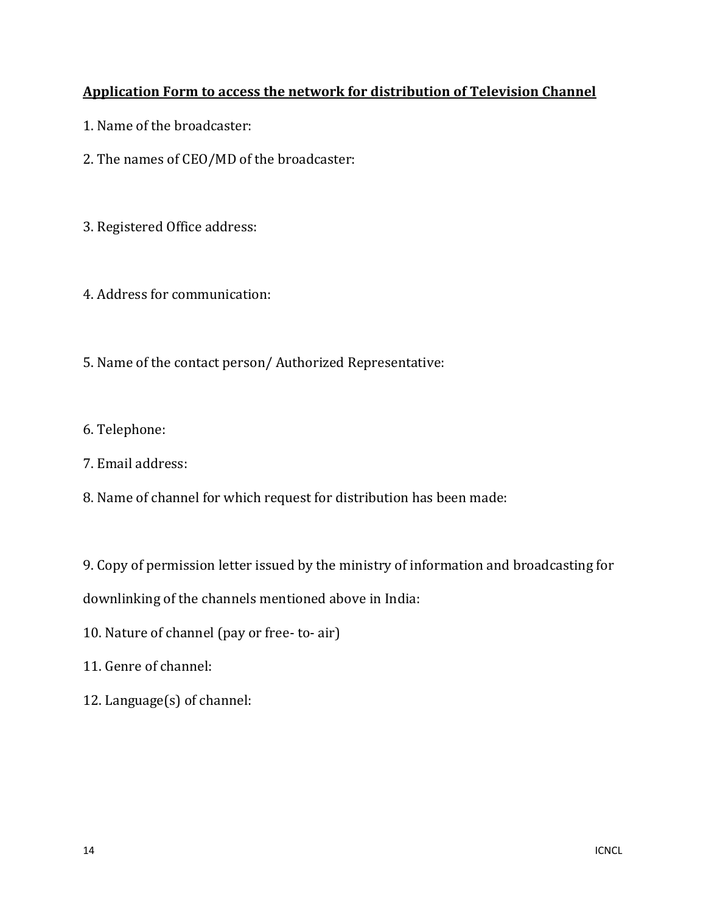# **Application Form to access the network for distribution of Television Channel**

- 1. Name of the broadcaster:
- 2. The names of CEO/MD of the broadcaster:
- 3. Registered Office address:
- 4. Address for communication:
- 5. Name of the contact person/ Authorized Representative:
- 6. Telephone:
- 7. Email address:
- 8. Name of channel for which request for distribution has been made:

9. Copy of permission letter issued by the ministry of information and broadcasting for

downlinking of the channels mentioned above in India:

- 10. Nature of channel (pay or free- to- air)
- 11. Genre of channel:
- 12. Language(s) of channel: